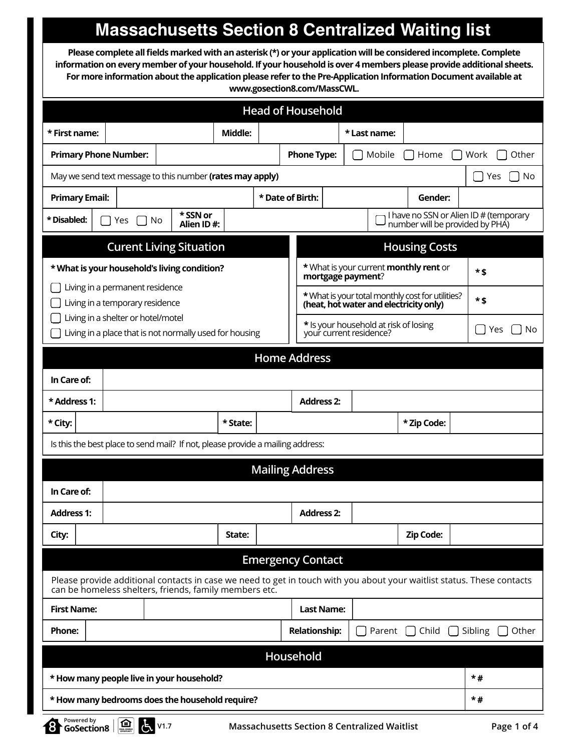## **Massachusetts Section 8 Centralized Waiting list**

**Please complete all fields marked with an asterisk (\*) or your application will be considered incomplete. Complete information on every member of your household. If your household is over 4 members please provide additional sheets. For more information about the application please refer to the Pre-Application Information Document available at www.gosection8.com/MassCWL.** 

|                                                                                                                                                                                  |                                                                                                                             |                        |          |  | <b>Head of Household</b> |         |                                                                    |              |                                                  |  |                                        |  |
|----------------------------------------------------------------------------------------------------------------------------------------------------------------------------------|-----------------------------------------------------------------------------------------------------------------------------|------------------------|----------|--|--------------------------|---------|--------------------------------------------------------------------|--------------|--------------------------------------------------|--|----------------------------------------|--|
| * First name:                                                                                                                                                                    |                                                                                                                             |                        | Middle:  |  |                          |         |                                                                    | * Last name: |                                                  |  |                                        |  |
|                                                                                                                                                                                  | <b>Phone Type:</b><br><b>Primary Phone Number:</b><br>Mobile<br>Home                                                        |                        |          |  |                          |         |                                                                    |              | Work<br>Other                                    |  |                                        |  |
|                                                                                                                                                                                  | May we send text message to this number (rates may apply)                                                                   |                        |          |  |                          |         |                                                                    |              |                                                  |  | No<br>Yes                              |  |
| <b>Primary Email:</b>                                                                                                                                                            |                                                                                                                             |                        |          |  | * Date of Birth:         | Gender: |                                                                    |              |                                                  |  |                                        |  |
| * Disabled:                                                                                                                                                                      | No<br>Yes                                                                                                                   | * SSN or<br>Alien ID#: |          |  |                          |         |                                                                    |              | number will be provided by PHA)                  |  | I have no SSN or Alien ID # (temporary |  |
|                                                                                                                                                                                  | <b>Curent Living Situation</b>                                                                                              |                        |          |  |                          |         |                                                                    |              | <b>Housing Costs</b>                             |  |                                        |  |
|                                                                                                                                                                                  | * What is your household's living condition?                                                                                |                        |          |  |                          |         | * What is your current <b>monthly rent</b> or<br>mortgage payment? |              | *\$                                              |  |                                        |  |
|                                                                                                                                                                                  | Living in a permanent residence                                                                                             |                        |          |  |                          |         |                                                                    |              | * What is your total monthly cost for utilities? |  | $*$ \$                                 |  |
|                                                                                                                                                                                  | Living in a temporary residence<br>(heat, hot water and electricity only)<br>Living in a shelter or hotel/motel             |                        |          |  |                          |         |                                                                    |              |                                                  |  |                                        |  |
|                                                                                                                                                                                  | * Is your household at risk of losing<br>Living in a place that is not normally used for housing<br>your current residence? |                        |          |  |                          |         |                                                                    |              | No<br>Yes                                        |  |                                        |  |
| <b>Home Address</b>                                                                                                                                                              |                                                                                                                             |                        |          |  |                          |         |                                                                    |              |                                                  |  |                                        |  |
| In Care of:                                                                                                                                                                      |                                                                                                                             |                        |          |  |                          |         |                                                                    |              |                                                  |  |                                        |  |
| * Address 1:                                                                                                                                                                     |                                                                                                                             |                        |          |  | <b>Address 2:</b>        |         |                                                                    |              |                                                  |  |                                        |  |
| * City:                                                                                                                                                                          |                                                                                                                             |                        | * State: |  |                          |         |                                                                    |              | * Zip Code:                                      |  |                                        |  |
| Is this the best place to send mail? If not, please provide a mailing address:                                                                                                   |                                                                                                                             |                        |          |  |                          |         |                                                                    |              |                                                  |  |                                        |  |
|                                                                                                                                                                                  | <b>Mailing Address</b>                                                                                                      |                        |          |  |                          |         |                                                                    |              |                                                  |  |                                        |  |
| In Care of:                                                                                                                                                                      |                                                                                                                             |                        |          |  |                          |         |                                                                    |              |                                                  |  |                                        |  |
| <b>Address 1:</b>                                                                                                                                                                |                                                                                                                             |                        |          |  | <b>Address 2:</b>        |         |                                                                    |              |                                                  |  |                                        |  |
| City:                                                                                                                                                                            |                                                                                                                             |                        | State:   |  |                          |         |                                                                    |              | <b>Zip Code:</b>                                 |  |                                        |  |
| <b>Emergency Contact</b>                                                                                                                                                         |                                                                                                                             |                        |          |  |                          |         |                                                                    |              |                                                  |  |                                        |  |
| Please provide additional contacts in case we need to get in touch with you about your waitlist status. These contacts<br>can be homeless shelters, friends, family members etc. |                                                                                                                             |                        |          |  |                          |         |                                                                    |              |                                                  |  |                                        |  |
| <b>First Name:</b>                                                                                                                                                               |                                                                                                                             |                        |          |  | <b>Last Name:</b>        |         |                                                                    |              |                                                  |  |                                        |  |
| <b>Phone:</b>                                                                                                                                                                    |                                                                                                                             |                        |          |  | <b>Relationship:</b>     |         |                                                                    | Parent       | Child<br>a st                                    |  | Sibling<br>Other                       |  |
|                                                                                                                                                                                  |                                                                                                                             |                        |          |  | Household                |         |                                                                    |              |                                                  |  |                                        |  |
|                                                                                                                                                                                  | * How many people live in your household?                                                                                   |                        |          |  |                          |         |                                                                    |              |                                                  |  | $*#$                                   |  |
|                                                                                                                                                                                  | * How many bedrooms does the household require?                                                                             |                        |          |  |                          |         |                                                                    |              |                                                  |  | $*#$                                   |  |

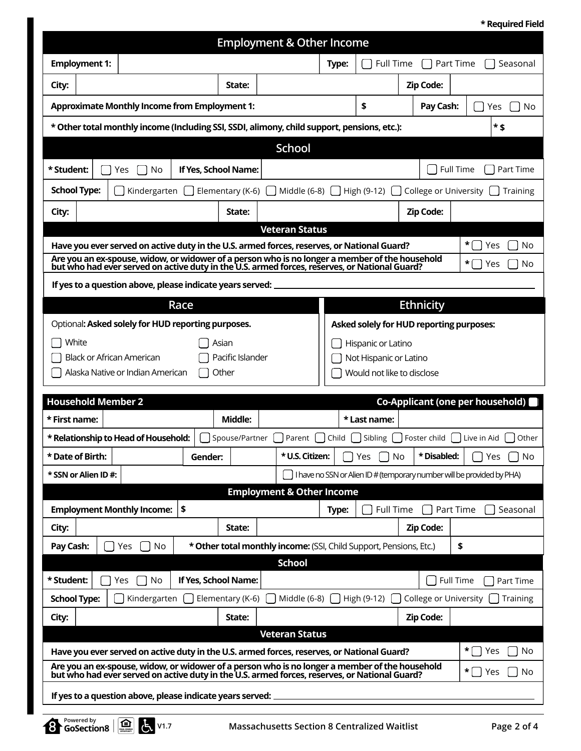**\* Required Field**

|                                                                                                                                                                                                                                                                                               |                                                                    | <b>Employment &amp; Other Income</b> |       |                            |                                                              |                                                                                  |
|-----------------------------------------------------------------------------------------------------------------------------------------------------------------------------------------------------------------------------------------------------------------------------------------------|--------------------------------------------------------------------|--------------------------------------|-------|----------------------------|--------------------------------------------------------------|----------------------------------------------------------------------------------|
| <b>Employment 1:</b>                                                                                                                                                                                                                                                                          |                                                                    |                                      | Type: | Full Time                  |                                                              | Part Time<br>Seasonal                                                            |
| City:                                                                                                                                                                                                                                                                                         | State:                                                             |                                      |       |                            | <b>Zip Code:</b>                                             |                                                                                  |
| <b>Approximate Monthly Income from Employment 1:</b>                                                                                                                                                                                                                                          |                                                                    |                                      |       | \$                         | Pay Cash:                                                    | Yes<br>No                                                                        |
| * Other total monthly income (Including SSI, SSDI, alimony, child support, pensions, etc.):                                                                                                                                                                                                   |                                                                    |                                      |       |                            |                                                              | * \$                                                                             |
|                                                                                                                                                                                                                                                                                               |                                                                    | <b>School</b>                        |       |                            |                                                              |                                                                                  |
| * Student:<br>Yes<br>No                                                                                                                                                                                                                                                                       | If Yes, School Name:                                               |                                      |       |                            |                                                              | Full Time<br>Part Time                                                           |
| <b>School Type:</b><br>Kindergarten                                                                                                                                                                                                                                                           | Elementary (K-6)                                                   | Middle (6-8)                         |       | High (9-12)                | College or University                                        | Training                                                                         |
| City:                                                                                                                                                                                                                                                                                         | State:                                                             |                                      |       |                            | <b>Zip Code:</b>                                             |                                                                                  |
|                                                                                                                                                                                                                                                                                               |                                                                    | <b>Veteran Status</b>                |       |                            |                                                              |                                                                                  |
| Have you ever served on active duty in the U.S. armed forces, reserves, or National Guard?<br>Are you an ex-spouse, widow, or widower of a person who is no longer a member of the household<br>but who had ever served on active duty in the U.S. armed forces, reserves, or National Guard? |                                                                    |                                      |       |                            |                                                              | *<br>Yes<br>No<br>*                                                              |
|                                                                                                                                                                                                                                                                                               |                                                                    |                                      |       |                            |                                                              | Yes<br>No                                                                        |
| If yes to a question above, please indicate years served:                                                                                                                                                                                                                                     | Race                                                               |                                      |       |                            |                                                              |                                                                                  |
| Optional: Asked solely for HUD reporting purposes.                                                                                                                                                                                                                                            |                                                                    |                                      |       |                            | <b>Ethnicity</b><br>Asked solely for HUD reporting purposes: |                                                                                  |
| White                                                                                                                                                                                                                                                                                         | Asian                                                              |                                      |       | Hispanic or Latino         |                                                              |                                                                                  |
| Pacific Islander<br><b>Black or African American</b><br>Not Hispanic or Latino                                                                                                                                                                                                                |                                                                    |                                      |       |                            |                                                              |                                                                                  |
| Alaska Native or Indian American                                                                                                                                                                                                                                                              | Other                                                              |                                      |       | Would not like to disclose |                                                              |                                                                                  |
| <b>Household Member 2</b>                                                                                                                                                                                                                                                                     |                                                                    |                                      |       |                            |                                                              | <b>Co-Applicant (one per household)</b> (                                        |
| * First name:                                                                                                                                                                                                                                                                                 | Middle:                                                            |                                      |       | * Last name:               |                                                              |                                                                                  |
| * Relationship to Head of Household:                                                                                                                                                                                                                                                          | Spouse/Partner                                                     | Parent                               | Child | Sibling                    | Foster child                                                 | Live in Aid<br>Other                                                             |
| * Date of Birth:                                                                                                                                                                                                                                                                              | Gender:                                                            | * U.S. Citizen:                      |       | Yes<br>No                  | * Disabled:                                                  | No<br>Yes                                                                        |
| * SSN or Alien ID#:                                                                                                                                                                                                                                                                           |                                                                    |                                      |       |                            |                                                              | $\bigcap$ I have no SSN or Alien ID # (temporary number will be provided by PHA) |
| <b>Employment Monthly Income:</b>                                                                                                                                                                                                                                                             | \$                                                                 | <b>Employment &amp; Other Income</b> | Type: | <b>Full Time</b>           |                                                              | Part Time<br>Seasonal                                                            |
| City:                                                                                                                                                                                                                                                                                         | State:                                                             |                                      |       |                            | <b>Zip Code:</b>                                             |                                                                                  |
| Pay Cash:<br>Yes<br>No                                                                                                                                                                                                                                                                        | * Other total monthly income: (SSI, Child Support, Pensions, Etc.) |                                      |       |                            |                                                              | \$                                                                               |
|                                                                                                                                                                                                                                                                                               |                                                                    | <b>School</b>                        |       |                            |                                                              |                                                                                  |
| * Student:<br><b>No</b><br>Yes                                                                                                                                                                                                                                                                | If Yes, School Name:                                               |                                      |       |                            |                                                              | Full Time<br>Part Time                                                           |
| <b>School Type:</b><br>Kindergarten                                                                                                                                                                                                                                                           | Elementary (K-6)                                                   | Middle (6-8)                         |       | High (9-12)                | College or University                                        | Training                                                                         |
| City:                                                                                                                                                                                                                                                                                         | State:                                                             |                                      |       |                            | Zip Code:                                                    |                                                                                  |
| Have you ever served on active duty in the U.S. armed forces, reserves, or National Guard?                                                                                                                                                                                                    |                                                                    | <b>Veteran Status</b>                |       |                            |                                                              | *<br>Yes<br>No                                                                   |
| Are you an ex-spouse, widow, or widower of a person who is no longer a member of the household<br>but who had ever served on active duty in the U.S. armed forces, reserves, or National Guard?                                                                                               |                                                                    |                                      |       |                            |                                                              | *  <br>Yes<br>No<br>$\blacksquare$                                               |
|                                                                                                                                                                                                                                                                                               | If yes to a question above, please indicate years served:          |                                      |       |                            |                                                              |                                                                                  |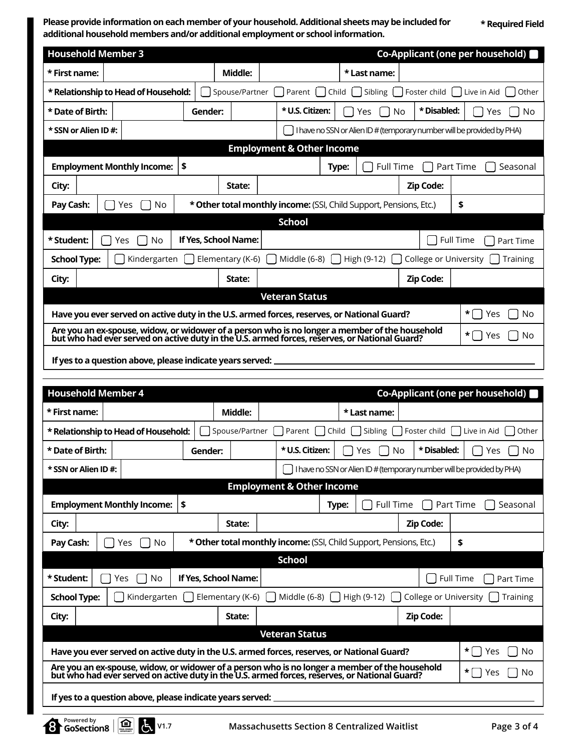**Please provide information on each member of your household. Additional sheets may be included for additional household members and/or additional employment or school information.**

**\* Required Field**

| <b>Household Member 3</b> |                                                                                                                                                 |                                                                                                                                                                                                 |         |                      |  |                                                                        |       |                  |                  | Co-Applicant (one per household) |  |
|---------------------------|-------------------------------------------------------------------------------------------------------------------------------------------------|-------------------------------------------------------------------------------------------------------------------------------------------------------------------------------------------------|---------|----------------------|--|------------------------------------------------------------------------|-------|------------------|------------------|----------------------------------|--|
| * First name:             |                                                                                                                                                 |                                                                                                                                                                                                 |         | Middle:              |  |                                                                        |       | * Last name:     |                  |                                  |  |
|                           |                                                                                                                                                 | * Relationship to Head of Household:                                                                                                                                                            |         | Spouse/Partner       |  | Sibling   Foster child  <br>Live in Aid<br>Parent<br>Child<br>Other    |       |                  |                  |                                  |  |
| * Date of Birth:          |                                                                                                                                                 |                                                                                                                                                                                                 | Gender: |                      |  | * U.S. Citizen:                                                        |       | No<br>Yes        | * Disabled:      | Yes<br>No                        |  |
| * SSN or Alien ID#:       |                                                                                                                                                 |                                                                                                                                                                                                 |         |                      |  | I have no SSN or Alien ID # (temporary number will be provided by PHA) |       |                  |                  |                                  |  |
|                           |                                                                                                                                                 |                                                                                                                                                                                                 |         |                      |  | <b>Employment &amp; Other Income</b>                                   |       |                  |                  |                                  |  |
|                           |                                                                                                                                                 | <b>Employment Monthly Income:</b>                                                                                                                                                               | \$      |                      |  |                                                                        | Type: | <b>Full Time</b> |                  | Part Time<br>Seasonal            |  |
| City:                     |                                                                                                                                                 |                                                                                                                                                                                                 |         | State:               |  |                                                                        |       |                  | Zip Code:        |                                  |  |
| Pay Cash:                 | * Other total monthly income: (SSI, Child Support, Pensions, Etc.)<br>\$<br>No<br>Yes                                                           |                                                                                                                                                                                                 |         |                      |  |                                                                        |       |                  |                  |                                  |  |
|                           |                                                                                                                                                 |                                                                                                                                                                                                 |         |                      |  | <b>School</b>                                                          |       |                  |                  |                                  |  |
| * Student:                |                                                                                                                                                 | No<br>Yes                                                                                                                                                                                       |         | If Yes, School Name: |  |                                                                        |       |                  |                  | <b>Full Time</b><br>Part Time    |  |
|                           | Elementary (K-6)<br>Middle (6-8)<br>College or University    <br><b>School Type:</b><br>Kindergarten<br>High (9-12)<br>Training<br>$\mathbf{L}$ |                                                                                                                                                                                                 |         |                      |  |                                                                        |       |                  |                  |                                  |  |
| City:                     |                                                                                                                                                 |                                                                                                                                                                                                 |         | State:               |  |                                                                        |       |                  | <b>Zip Code:</b> |                                  |  |
|                           |                                                                                                                                                 |                                                                                                                                                                                                 |         |                      |  | <b>Veteran Status</b>                                                  |       |                  |                  |                                  |  |
|                           | *    <br>Have you ever served on active duty in the U.S. armed forces, reserves, or National Guard?<br>Yes                                      |                                                                                                                                                                                                 |         |                      |  |                                                                        |       | No               |                  |                                  |  |
|                           |                                                                                                                                                 | Are you an ex-spouse, widow, or widower of a person who is no longer a member of the household<br>but who had ever served on active duty in the U.S. armed forces, reserves, or National Guard? |         |                      |  |                                                                        |       |                  |                  | * [ ⊺<br>No<br>Yes               |  |
|                           |                                                                                                                                                 | If yes to a question above, please indicate years served:                                                                                                                                       |         |                      |  |                                                                        |       |                  |                  |                                  |  |

|                      | <b>Household Member 4</b>                                                                                                                                                                       |         |                  |                                                                    |  |                                     |                       | Co-Applicant (one per household)                                       |  |
|----------------------|-------------------------------------------------------------------------------------------------------------------------------------------------------------------------------------------------|---------|------------------|--------------------------------------------------------------------|--|-------------------------------------|-----------------------|------------------------------------------------------------------------|--|
| * First name:        |                                                                                                                                                                                                 |         | Middle:          |                                                                    |  | * Last name:                        |                       |                                                                        |  |
|                      | * Relationship to Head of Household:                                                                                                                                                            |         | Spouse/Partner   | Parent   Child                                                     |  | Foster child   Live in Aid<br>Other |                       |                                                                        |  |
| * Date of Birth:     |                                                                                                                                                                                                 | Gender: |                  | * U.S. Citizen:                                                    |  | No.<br>Yes.                         | * Disabled:           | No<br>Yes.                                                             |  |
| * SSN or Alien ID #: |                                                                                                                                                                                                 |         |                  |                                                                    |  |                                     |                       | I have no SSN or Alien ID # (temporary number will be provided by PHA) |  |
|                      | <b>Employment &amp; Other Income</b>                                                                                                                                                            |         |                  |                                                                    |  |                                     |                       |                                                                        |  |
|                      | <b>Employment Monthly Income:</b><br>\$<br>Full Time<br>Type:                                                                                                                                   |         |                  |                                                                    |  | Part Time<br>Seasonal               |                       |                                                                        |  |
| City:                |                                                                                                                                                                                                 |         | State:           |                                                                    |  |                                     | <b>Zip Code:</b>      |                                                                        |  |
| Pay Cash:            | Yes<br>No                                                                                                                                                                                       |         |                  | * Other total monthly income: (SSI, Child Support, Pensions, Etc.) |  |                                     |                       | \$                                                                     |  |
| <b>School</b>        |                                                                                                                                                                                                 |         |                  |                                                                    |  |                                     |                       |                                                                        |  |
| * Student:           | If Yes, School Name:<br><b>Full Time</b><br>No<br>Yes                                                                                                                                           |         |                  |                                                                    |  |                                     |                       | Part Time                                                              |  |
| <b>School Type:</b>  | Kindergarten                                                                                                                                                                                    |         | Elementary (K-6) | Middle (6-8)                                                       |  | High (9-12)                         | College or University | Training                                                               |  |
| City:                |                                                                                                                                                                                                 |         | State:           |                                                                    |  |                                     | <b>Zip Code:</b>      |                                                                        |  |
|                      |                                                                                                                                                                                                 |         |                  | <b>Veteran Status</b>                                              |  |                                     |                       |                                                                        |  |
|                      | *  <br>Have you ever served on active duty in the U.S. armed forces, reserves, or National Guard?<br>Yes                                                                                        |         |                  |                                                                    |  |                                     |                       | No                                                                     |  |
|                      | Are you an ex-spouse, widow, or widower of a person who is no longer a member of the household<br>but who had ever served on active duty in the U.S. armed forces, reserves, or National Guard? |         |                  |                                                                    |  |                                     |                       | *<br>No<br>Yes                                                         |  |
|                      | If yes to a question above, please indicate years served:                                                                                                                                       |         |                  |                                                                    |  |                                     |                       |                                                                        |  |